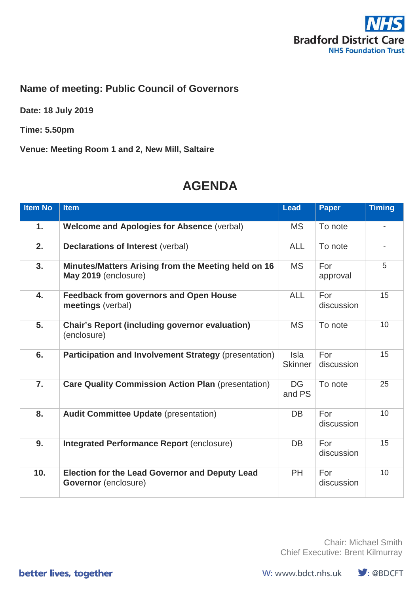

## **Name of meeting: Public Council of Governors**

**Date: 18 July 2019**

**Time: 5.50pm**

**Venue: Meeting Room 1 and 2, New Mill, Saltaire**

## **AGENDA**

| <b>Item No</b>   | <b>Item</b>                                                                   | <b>Lead</b>            | <b>Paper</b>      | <b>Timing</b> |
|------------------|-------------------------------------------------------------------------------|------------------------|-------------------|---------------|
| 1.               | <b>Welcome and Apologies for Absence (verbal)</b>                             | <b>MS</b>              | To note           |               |
| 2.               | <b>Declarations of Interest (verbal)</b>                                      | <b>ALL</b>             | To note           |               |
| 3.               | Minutes/Matters Arising from the Meeting held on 16<br>May 2019 (enclosure)   | <b>MS</b>              | For<br>approval   | 5             |
| 4.               | <b>Feedback from governors and Open House</b><br>meetings (verbal)            | <b>ALL</b>             | For<br>discussion | 15            |
| 5.               | <b>Chair's Report (including governor evaluation)</b><br>(enclosure)          | <b>MS</b>              | To note           | 10            |
| 6.               | Participation and Involvement Strategy (presentation)                         | Isla<br><b>Skinner</b> | For<br>discussion | 15            |
| $\overline{7}$ . | <b>Care Quality Commission Action Plan (presentation)</b>                     | <b>DG</b><br>and PS    | To note           | 25            |
| 8.               | <b>Audit Committee Update (presentation)</b>                                  | <b>DB</b>              | For<br>discussion | 10            |
| 9.               | <b>Integrated Performance Report (enclosure)</b>                              | DB                     | For<br>discussion | 15            |
| 10.              | <b>Election for the Lead Governor and Deputy Lead</b><br>Governor (enclosure) | <b>PH</b>              | For<br>discussion | 10            |

Chair: Michael Smith Chief Executive: Brent Kilmurray